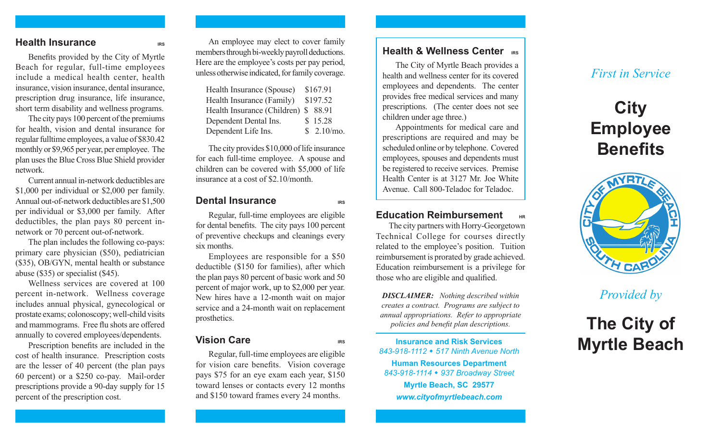#### **Health Insurance**

Benefits provided by the City of Myrtle Beach for regular, full-time employees include a medical health center, health insurance, vision insurance, dental insurance, prescription drug insurance, life insurance, short term disability and wellness programs.

The city pays 100 percent of the premiums for health, vision and dental insurance for regular fulltime employees, a value of \$830.42 monthly or \$9,965 per year, per employee. The plan uses the Blue Cross Blue Shield provider network.

Current annual in-network deductibles are \$1,000 per individual or \$2,000 per family. Annual out-of-network deductibles are \$1,500 per individual or \$3,000 per family. After deductibles, the plan pays 80 percent innetwork or 70 percent out-of-network.

The plan includes the following co-pays: primary care physician (\$50), pediatrician (\$35), OB/GYN, mental health or substance abuse (\$35) or specialist (\$45).

Wellness services are covered at 100 percent in-network. Wellness coverage includes annual physical, gynecological or prostate exams; colonoscopy; well-child visits and mammograms. Free flu shots are offered annually to covered employees/dependents.

Prescription benefits are included in the cost of health insurance. Prescription costs are the lesser of 40 percent (the plan pays 60 percent) or a \$250 co-pay. Mail-order prescriptions provide a 90-day supply for 15 percent of the prescription cost.

An employee may elect to cover family members through bi-weekly payroll deductions. Here are the employee's costs per pay period, unless otherwise indicated, for family coverage.

| Health Insurance (Spouse)            | \$167.91    |
|--------------------------------------|-------------|
| Health Insurance (Family)            | \$197.52    |
| Health Insurance (Children) \$ 88.91 |             |
| Dependent Dental Ins.                | \$15.28     |
| Dependent Life Ins.                  | \$2.10/mol. |

The city provides \$10,000 of life insurance for each full-time employee. A spouse and children can be covered with \$5,000 of life insurance at a cost of \$2.10/month.

#### **Dental Insurance IRS**

Regular, full-time employees are eligible for dental benefits. The city pays 100 percent of preventive checkups and cleanings every six months.

Employees are responsible for a \$50 deductible (\$150 for families), after which the plan pays 80 percent of basic work and 50 percent of major work, up to \$2,000 per year. New hires have a 12-month wait on major service and a 24-month wait on replacement prosthetics.

### **Vision Care IRS**

Regular, full-time employees are eligible for vision care benefits. Vision coverage pays \$75 for an eye exam each year, \$150 toward lenses or contacts every 12 months and \$150 toward frames every 24 months.

### **Health & Wellness Center IRS**

The City of Myrtle Beach provides a health and wellness center for its covered employees and dependents. The center provides free medical services and many prescriptions. (The center does not see children under age three.)

Appointments for medical care and prescriptions are required and may be scheduled online or by telephone. Covered employees, spouses and dependents must be registered to receive services. Premise Health Center is at 3127 Mr. Joe White Avenue. Call 800-Teladoc for Teladoc.

## **Education Reimbursement**

The city partners with Horry-Georgetown Technical College for courses directly related to the employee's position. Tuition reimbursement is prorated by grade achieved. Education reimbursement is a privilege for those who are eligible and qualified.

*DISCLAIMER: Nothing described within creates a contract. Programs are subject to annual appropriations. Refer to appropriate policies and benefit plan descriptions.* 

**Insurance and Risk Services** *843-918-1112* w *517 Ninth Avenue North* **Human Resources Department** *843-918-1114* w *937 Broadway Street* **Myrtle Beach, SC 29577** *www.cityofmyrtlebeach.com*

# *First in Service*

# **City Employee Benefits**



*Provided by*

# **The City of Myrtle Beach**